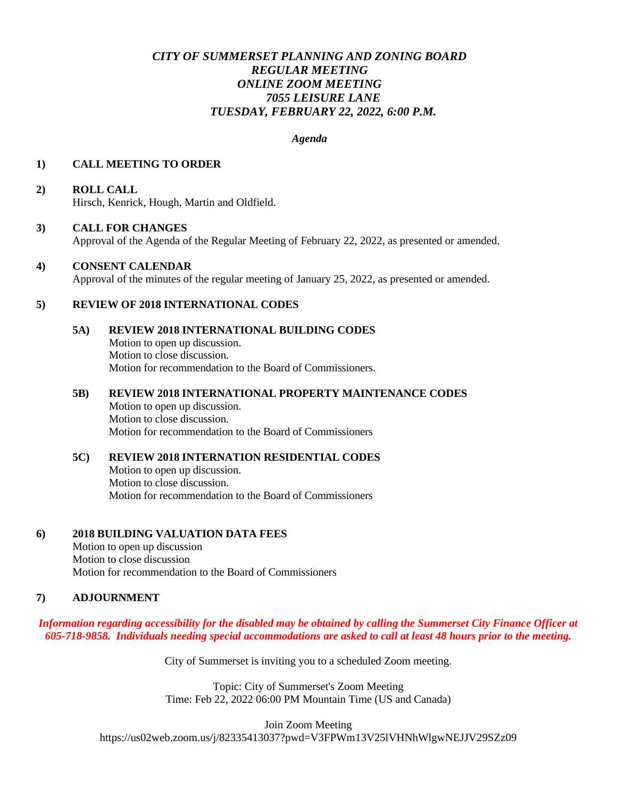# *CITY OF SUMMERSET PLANNING AND ZONING BOARD REGULAR MEETING ONLINE ZOOM MEETING 7055 LEISURE LANE TUESDAY, FEBRUARY 22, 2022, 6:00 P.M.*

*Agenda* 

#### **1) CALL MEETING TO ORDER**

## **2) ROLL CALL**

Hirsch, Kenrick, Hough, Martin and Oldfield.

#### **3) CALL FOR CHANGES**

Approval of the Agenda of the Regular Meeting of February 22, 2022, as presented or amended.

# **4) CONSENT CALENDAR**

Approval of the minutes of the regular meeting of January 25, 2022, as presented or amended.

## **5) REVIEW OF 2018 INTERNATIONAL CODES**

#### **5A) REVIEW 2018 INTERNATIONAL BUILDING CODES**

Motion to open up discussion. Motion to close discussion. Motion for recommendation to the Board of Commissioners.

# **5B) REVIEW 2018 INTERNATIONAL PROPERTY MAINTENANCE CODES**

Motion to open up discussion. Motion to close discussion. Motion for recommendation to the Board of Commissioners

#### **5C) REVIEW 2018 INTERNATION RESIDENTIAL CODES**

Motion to open up discussion. Motion to close discussion. Motion for recommendation to the Board of Commissioners

# **6) 2018 BUILDING VALUATION DATA FEES**

Motion to open up discussion Motion to close discussion Motion for recommendation to the Board of Commissioners

# **7) ADJOURNMENT**

*Information regarding accessibility for the disabled may be obtained by calling the Summerset City Finance Officer at 605-718-9858. Individuals needing special accommodations are asked to call at least 48 hours prior to the meeting.*

City of Summerset is inviting you to a scheduled Zoom meeting.

Topic: City of Summerset's Zoom Meeting Time: Feb 22, 2022 06:00 PM Mountain Time (US and Canada)

Join Zoom Meeting https://us02web.zoom.us/j/82335413037?pwd=V3FPWm13V25lVHNhWlgwNEJJV29SZz09